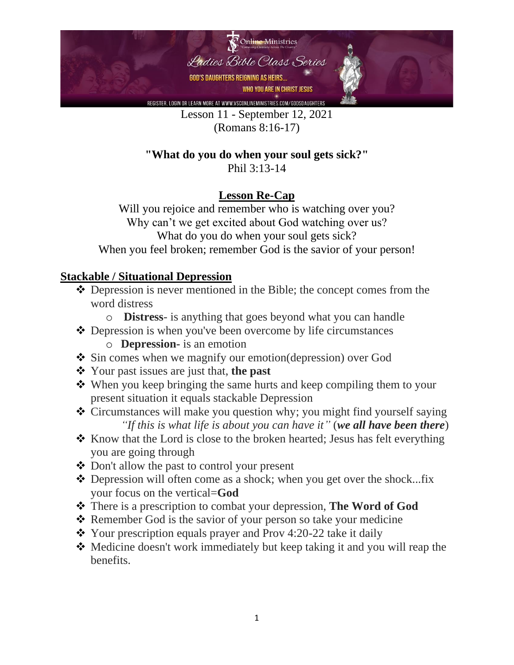

Lesson 11 - September 12, 2021 (Romans 8:16-17)

# **"What do you do when your soul gets sick?"**

Phil 3:13-14

## **Lesson Re-Cap**

Will you rejoice and remember who is watching over you? Why can't we get excited about God watching over us? What do you do when your soul gets sick? When you feel broken; remember God is the savior of your person!

## **Stackable / Situational Depression**

- ❖ Depression is never mentioned in the Bible; the concept comes from the word distress
	- o **Distress** is anything that goes beyond what you can handle
- ❖ Depression is when you've been overcome by life circumstances o **Depression-** is an emotion
- ❖ Sin comes when we magnify our emotion(depression) over God
- ❖ Your past issues are just that, **the past**
- ❖ When you keep bringing the same hurts and keep compiling them to your present situation it equals stackable Depression
- ❖ Circumstances will make you question why; you might find yourself saying *"If this is what life is about you can have it"* (*we all have been there*)
- ❖ Know that the Lord is close to the broken hearted; Jesus has felt everything you are going through
- ❖ Don't allow the past to control your present
- ❖ Depression will often come as a shock; when you get over the shock...fix your focus on the vertical=**God**
- ❖ There is a prescription to combat your depression, **The Word of God**
- ❖ Remember God is the savior of your person so take your medicine
- ❖ Your prescription equals prayer and Prov 4:20-22 take it daily
- ❖ Medicine doesn't work immediately but keep taking it and you will reap the benefits.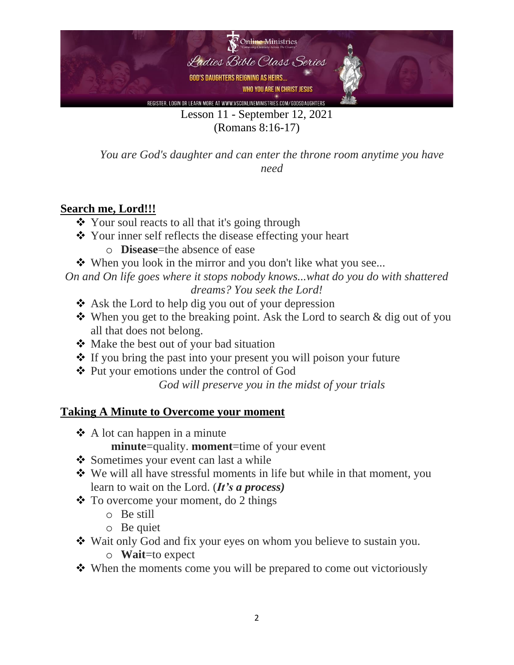

(Romans 8:16-17)

*You are God's daughter and can enter the throne room anytime you have need*

#### **Search me, Lord!!!**

- ❖ Your soul reacts to all that it's going through
- ❖ Your inner self reflects the disease effecting your heart
	- o **Disease**=the absence of ease
- ❖ When you look in the mirror and you don't like what you see...

*On and On life goes where it stops nobody knows...what do you do with shattered dreams? You seek the Lord!* 

- ❖ Ask the Lord to help dig you out of your depression
- ❖ When you get to the breaking point. Ask the Lord to search & dig out of you all that does not belong.
- ❖ Make the best out of your bad situation
- ❖ If you bring the past into your present you will poison your future
- ❖ Put your emotions under the control of God

*God will preserve you in the midst of your trials*

#### **Taking A Minute to Overcome your moment**

- ❖ A lot can happen in a minute
	- **minute**=quality. **moment**=time of your event
- ❖ Sometimes your event can last a while
- ❖ We will all have stressful moments in life but while in that moment, you learn to wait on the Lord. (*It's a process)*
- ❖ To overcome your moment, do 2 things
	- o Be still
	- o Be quiet
- ❖ Wait only God and fix your eyes on whom you believe to sustain you.
	- o **Wait**=to expect
- ❖ When the moments come you will be prepared to come out victoriously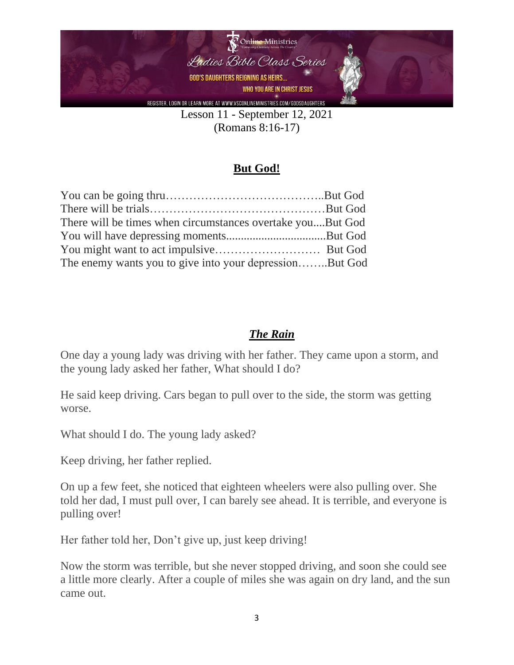

(Romans 8:16-17)

## **But God!**

| There will be times when circumstances overtake youBut God |  |
|------------------------------------------------------------|--|
|                                                            |  |
|                                                            |  |
| The enemy wants you to give into your depressionBut God    |  |

#### *The Rain*

One day a young lady was driving with her father. They came upon a storm, and the young lady asked her father, What should I do?

He said keep driving. Cars began to pull over to the side, the storm was getting worse.

What should I do. The young lady asked?

Keep driving, her father replied.

On up a few feet, she noticed that eighteen wheelers were also pulling over. She told her dad, I must pull over, I can barely see ahead. It is terrible, and everyone is pulling over!

Her father told her, Don't give up, just keep driving!

Now the storm was terrible, but she never stopped driving, and soon she could see a little more clearly. After a couple of miles she was again on dry land, and the sun came out.